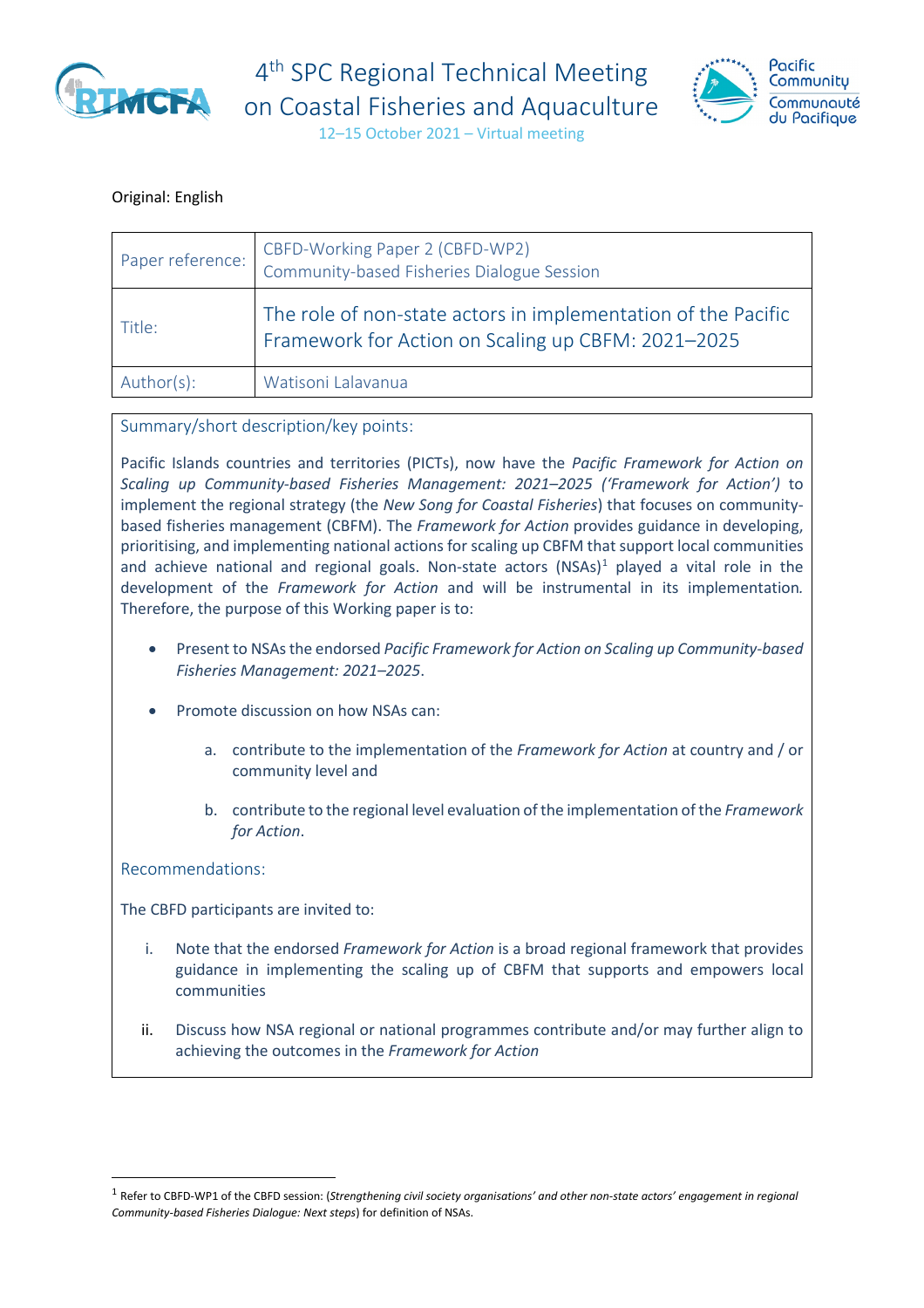

4<sup>th</sup> SPC Regional Technical Meeting on Coastal Fisheries and Aquaculture



12–15 October 2021 – Virtual meeting

#### Original: English

| Paper reference: | CBFD-Working Paper 2 (CBFD-WP2)<br>Community-based Fisheries Dialogue Session                                       |
|------------------|---------------------------------------------------------------------------------------------------------------------|
| Title:           | The role of non-state actors in implementation of the Pacific<br>Framework for Action on Scaling up CBFM: 2021-2025 |
| Author(s):       | Watisoni Lalavanua                                                                                                  |

#### Summary/short description/key points:

Pacific Islands countries and territories (PICTs), now have the *Pacific Framework for Action on Scaling up Community-based Fisheries Management: 2021–2025 ('Framework for Action')* to implement the regional strategy (the *New Song for Coastal Fisheries*) that focuses on communitybased fisheries management (CBFM). The *Framework for Action* provides guidance in developing, prioritising, and implementing national actions for scaling up CBFM that support local communities and achieve national and regional goals. Non-state actors  $(NSAS)^1$  $(NSAS)^1$  played a vital role in the development of the *Framework for Action* and will be instrumental in its implementation*.*  Therefore, the purpose of this Working paper is to:

- Present to NSAs the endorsed *Pacific Framework for Action on Scaling up Community-based Fisheries Management: 2021–2025*.
- Promote discussion on how NSAs can:
	- a. contribute to the implementation of the *Framework for Action* at country and / or community level and
	- b. contribute to the regional level evaluation of the implementation of the *Framework for Action*.

Recommendations:

The CBFD participants are invited to:

- i. Note that the endorsed *Framework for Action* is a broad regional framework that provides guidance in implementing the scaling up of CBFM that supports and empowers local communities
- ii. Discuss how NSA regional or national programmes contribute and/or may further align to achieving the outcomes in the *Framework for Action*

<span id="page-0-0"></span><sup>1</sup> Refer to CBFD-WP1 of the CBFD session: (*Strengthening civil society organisations' and other non-state actors' engagement in regional Community-based Fisheries Dialogue: Next steps*) for definition of NSAs.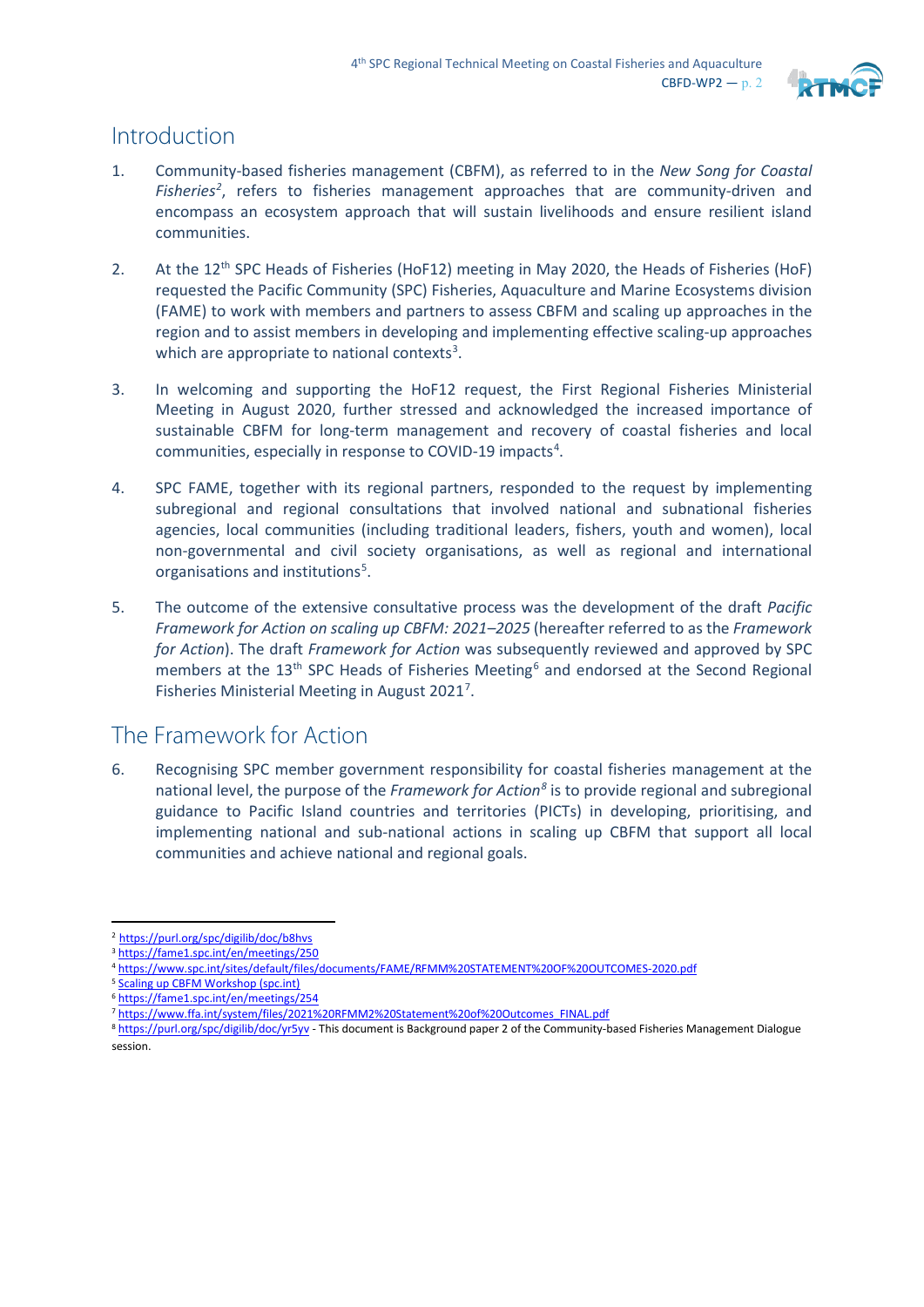

## Introduction

- 1. Community-based fisheries management (CBFM), as referred to in the *New Song for Coastal*  Fisheries<sup>2</sup>, refers to fisheries management approaches that are community-driven and encompass an ecosystem approach that will sustain livelihoods and ensure resilient island communities.
- 2. At the 12<sup>th</sup> SPC Heads of Fisheries (HoF12) meeting in May 2020, the Heads of Fisheries (HoF) requested the Pacific Community (SPC) Fisheries, Aquaculture and Marine Ecosystems division (FAME) to work with members and partners to assess CBFM and scaling up approaches in the region and to assist members in developing and implementing effective scaling-up approaches which are appropriate to national contexts<sup>[3](#page-1-1)</sup>.
- 3. In welcoming and supporting the HoF12 request, the First Regional Fisheries Ministerial Meeting in August 2020, further stressed and acknowledged the increased importance of sustainable CBFM for long-term management and recovery of coastal fisheries and local communities, especially in response to COVID-19 impacts<sup>[4](#page-1-2)</sup>.
- 4. SPC FAME, together with its regional partners, responded to the request by implementing subregional and regional consultations that involved national and subnational fisheries agencies, local communities (including traditional leaders, fishers, youth and women), local non-governmental and civil society organisations, as well as regional and international organisations and institutions<sup>[5](#page-1-3)</sup>.
- 5. The outcome of the extensive consultative process was the development of the draft *Pacific Framework for Action on scaling up CBFM: 2021–2025* (hereafter referred to as the *Framework for Action*). The draft *Framework for Action* was subsequently reviewed and approved by SPC members at the 13<sup>th</sup> SPC Heads of Fisheries Meeting<sup>[6](#page-1-4)</sup> and endorsed at the Second Regional Fisheries Ministerial Meeting in August 2021<sup>[7](#page-1-5)</sup>.

# The Framework for Action

6. Recognising SPC member government responsibility for coastal fisheries management at the national level, the purpose of the *Framework for Action[8](#page-1-6)* is to provide regional and subregional guidance to Pacific Island countries and territories (PICTs) in developing, prioritising, and implementing national and sub-national actions in scaling up CBFM that support all local communities and achieve national and regional goals.

<span id="page-1-3"></span><sup>5</sup> [Scaling up CBFM Workshop \(spc.int\)](https://fame1.spc.int/en/meetings/255)

<span id="page-1-0"></span><sup>&</sup>lt;sup>2</sup> https://purl.org/spc/digilib/doc/b8hvs<br><sup>3</sup> <https://fame1.spc.int/en/meetings/250>

<span id="page-1-1"></span>

<span id="page-1-2"></span><sup>4</sup> <https://www.spc.int/sites/default/files/documents/FAME/RFMM%20STATEMENT%20OF%20OUTCOMES-2020.pdf>

<span id="page-1-4"></span><sup>6</sup> <https://fame1.spc.int/en/meetings/254>

<span id="page-1-5"></span><sup>7</sup> [https://www.ffa.int/system/files/2021%20RFMM2%20Statement%20of%20Outcomes\\_FINAL.pdf](https://www.ffa.int/system/files/2021%20RFMM2%20Statement%20of%20Outcomes_FINAL.pdf)

<span id="page-1-6"></span><sup>8</sup> <https://purl.org/spc/digilib/doc/yr5yv> - This document is Background paper 2 of the Community-based Fisheries Management Dialogue session.